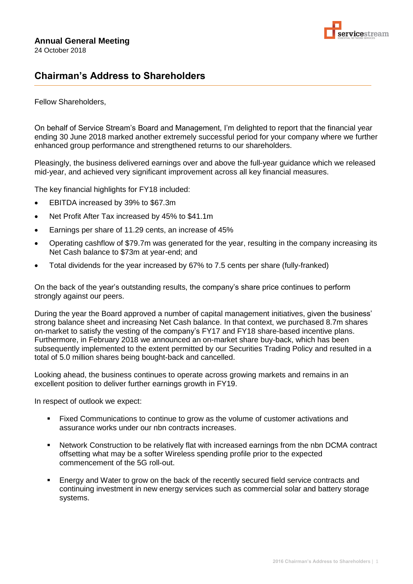

## **Chairman's Address to Shareholders**

Fellow Shareholders,

On behalf of Service Stream's Board and Management, I'm delighted to report that the financial year ending 30 June 2018 marked another extremely successful period for your company where we further enhanced group performance and strengthened returns to our shareholders.

Pleasingly, the business delivered earnings over and above the full-year guidance which we released mid-year, and achieved very significant improvement across all key financial measures.

The key financial highlights for FY18 included:

- EBITDA increased by 39% to \$67.3m
- Net Profit After Tax increased by 45% to \$41.1m
- Earnings per share of 11.29 cents, an increase of 45%
- Operating cashflow of \$79.7m was generated for the year, resulting in the company increasing its Net Cash balance to \$73m at year-end; and
- Total dividends for the year increased by 67% to 7.5 cents per share (fully-franked)

On the back of the year's outstanding results, the company's share price continues to perform strongly against our peers.

During the year the Board approved a number of capital management initiatives, given the business' strong balance sheet and increasing Net Cash balance. In that context, we purchased 8.7m shares on-market to satisfy the vesting of the company's FY17 and FY18 share-based incentive plans. Furthermore, in February 2018 we announced an on-market share buy-back, which has been subsequently implemented to the extent permitted by our Securities Trading Policy and resulted in a total of 5.0 million shares being bought-back and cancelled.

Looking ahead, the business continues to operate across growing markets and remains in an excellent position to deliver further earnings growth in FY19.

In respect of outlook we expect:

- Fixed Communications to continue to grow as the volume of customer activations and assurance works under our nbn contracts increases.
- Network Construction to be relatively flat with increased earnings from the nbn DCMA contract offsetting what may be a softer Wireless spending profile prior to the expected commencement of the 5G roll-out.
- **Energy and Water to grow on the back of the recently secured field service contracts and** continuing investment in new energy services such as commercial solar and battery storage systems.